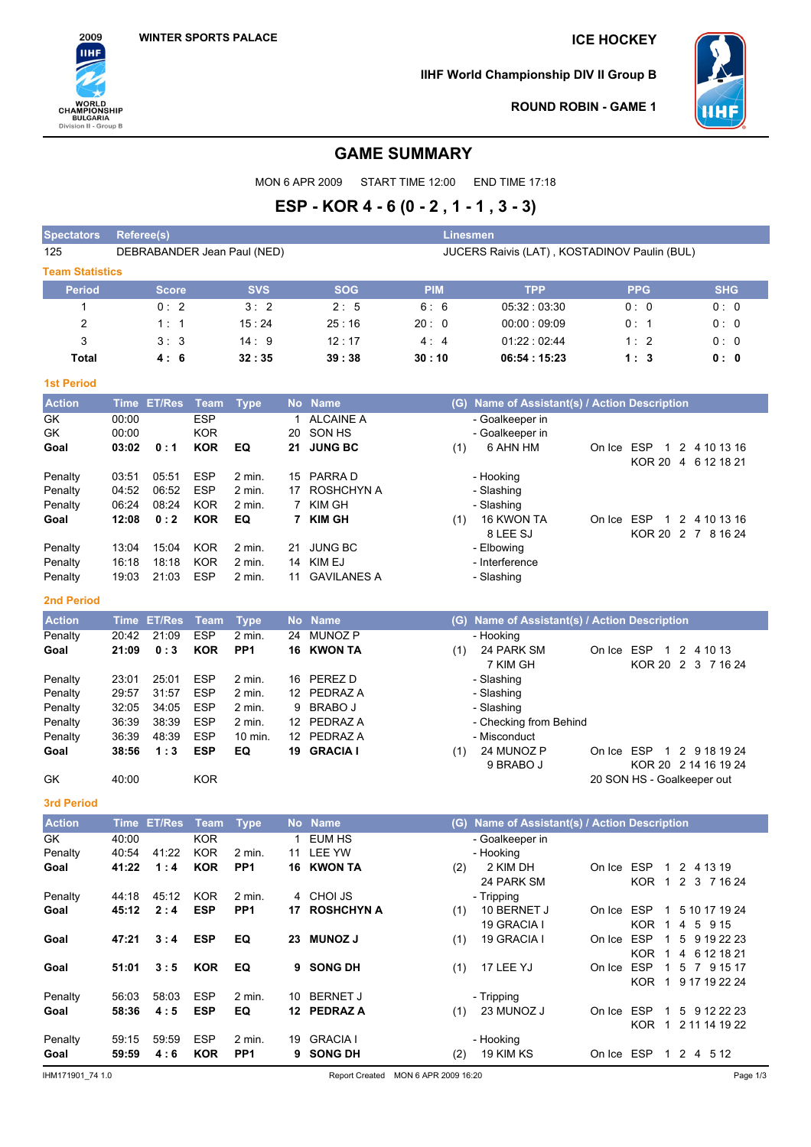

**IIHF World Championship DIV II Group B**



**ROUND ROBIN - GAME 1**

# **GAME SUMMARY**

MON 6 APR 2009 START TIME 12:00 END TIME 17:18

# **ESP - KOR 4 - 6 (0 - 2 , 1 - 1 , 3 - 3)**

| <b>Spectators</b>      | Referee(s)                                                                  |               |             |                           |           |                          | Linesmen                            |                                               |            |                            |                                   |
|------------------------|-----------------------------------------------------------------------------|---------------|-------------|---------------------------|-----------|--------------------------|-------------------------------------|-----------------------------------------------|------------|----------------------------|-----------------------------------|
| 125                    | JUCERS Raivis (LAT), KOSTADINOV Paulin (BUL)<br>DEBRABANDER Jean Paul (NED) |               |             |                           |           |                          |                                     |                                               |            |                            |                                   |
| <b>Team Statistics</b> |                                                                             |               |             |                           |           |                          |                                     |                                               |            |                            |                                   |
| <b>Period</b>          |                                                                             | <b>Score</b>  |             | <b>SVS</b>                |           | <b>SOG</b>               | <b>PIM</b>                          | <b>TPP</b>                                    |            | <b>PPG</b>                 | <b>SHG</b>                        |
| 1                      |                                                                             | 0:2           |             | 3:2                       |           | 2:5                      | 6:6                                 | 05:32:03:30                                   |            | 0:0                        | 0:0                               |
| 2                      |                                                                             | 1:1           |             | 15:24                     |           | 25:16                    | 20:0                                | 00:00:09:09                                   |            | 0: 1                       | 0: 0                              |
| 3                      |                                                                             | 3:3           |             | 14:9                      |           | 12:17                    | 4:4                                 | 01:22:02:44                                   |            | 1:2                        | 0: 0                              |
| Total                  |                                                                             | 4:6           |             | 32:35                     |           | 39:38                    | 30:10                               | 06:54:15:23                                   |            | 1:3                        | 0: 0                              |
|                        |                                                                             |               |             |                           |           |                          |                                     |                                               |            |                            |                                   |
| <b>1st Period</b>      |                                                                             |               |             |                           |           |                          |                                     |                                               |            |                            |                                   |
| <b>Action</b>          |                                                                             | Time ET/Res   | <b>Team</b> | <b>Type</b>               |           | No Name                  |                                     | (G) Name of Assistant(s) / Action Description |            |                            |                                   |
| GK                     | 00:00                                                                       |               | <b>ESP</b>  |                           | 1         | <b>ALCAINE A</b>         |                                     | - Goalkeeper in                               |            |                            |                                   |
| GK                     | 00:00                                                                       |               | <b>KOR</b>  |                           | 20        | SON HS                   |                                     | - Goalkeeper in                               |            |                            |                                   |
| Goal                   | 03:02                                                                       | 0:1           | <b>KOR</b>  | EQ                        | 21        | <b>JUNG BC</b>           | (1)                                 | 6 AHN HM                                      | On Ice ESP |                            | 1 2 4 10 13 16                    |
| Penalty                | 03:51                                                                       | 05:51         | <b>ESP</b>  | 2 min.                    |           | 15 PARRA D               |                                     | - Hooking                                     |            |                            | KOR 20 4 6 12 18 21               |
| Penalty                | 04:52                                                                       | 06:52         | <b>ESP</b>  | $2$ min.                  |           | 17 ROSHCHYN A            |                                     | - Slashing                                    |            |                            |                                   |
| Penalty                | 06:24                                                                       | 08:24         | <b>KOR</b>  | 2 min.                    |           | 7 KIM GH                 |                                     | - Slashing                                    |            |                            |                                   |
| Goal                   | 12:08                                                                       | 0:2           | <b>KOR</b>  | EQ                        |           | 7 KIM GH                 | (1)                                 | 16 KWON TA                                    | On Ice ESP |                            | 1 2 4 10 13 16                    |
|                        |                                                                             |               |             |                           |           |                          |                                     | 8 LEE SJ                                      |            |                            | KOR 20 2 7 8 16 24                |
| Penalty                | 13:04                                                                       | 15:04         | <b>KOR</b>  | $2$ min.                  |           | 21 JUNG BC               |                                     | - Elbowing                                    |            |                            |                                   |
| Penalty                | 16:18                                                                       | 18:18         | <b>KOR</b>  | 2 min.                    |           | 14 KIM EJ                |                                     | - Interference                                |            |                            |                                   |
| Penalty                | 19:03                                                                       | 21:03         | <b>ESP</b>  | 2 min.                    | 11        | <b>GAVILANES A</b>       |                                     | - Slashing                                    |            |                            |                                   |
| 2nd Period             |                                                                             |               |             |                           |           |                          |                                     |                                               |            |                            |                                   |
| <b>Action</b>          | <b>Time</b>                                                                 | <b>ET/Res</b> | <b>Team</b> | <b>Type</b>               | <b>No</b> | <b>Name</b>              | (G)                                 | Name of Assistant(s) / Action Description     |            |                            |                                   |
| Penalty                | 20:42                                                                       | 21:09         | <b>ESP</b>  | 2 min.                    | 24        | <b>MUNOZ P</b>           |                                     | - Hooking                                     |            |                            |                                   |
| Goal                   | 21:09                                                                       | 0:3           | <b>KOR</b>  | PP <sub>1</sub>           |           | 16 KWON TA               | (1)                                 | 24 PARK SM<br>7 KIM GH                        | On Ice ESP |                            | 1 2 4 10 13<br>KOR 20 2 3 7 16 24 |
| Penalty                | 23:01                                                                       | 25:01         | <b>ESP</b>  | 2 min.                    |           | 16 PEREZ D               |                                     | - Slashing                                    |            |                            |                                   |
| Penalty                | 29:57                                                                       | 31:57         | <b>ESP</b>  | 2 min.                    |           | 12 PEDRAZ A              |                                     | - Slashing                                    |            |                            |                                   |
| Penalty                | 32:05                                                                       | 34:05         | <b>ESP</b>  | 2 min.                    | 9         | <b>BRABO J</b>           |                                     | - Slashing                                    |            |                            |                                   |
| Penalty                | 36:39                                                                       | 38:39         | <b>ESP</b>  | 2 min.                    |           | 12 PEDRAZ A              |                                     | - Checking from Behind                        |            |                            |                                   |
| Penalty                | 36:39                                                                       | 48:39         | <b>ESP</b>  | 10 min.                   |           | 12 PEDRAZ A              |                                     | - Misconduct                                  |            |                            |                                   |
| Goal                   | 38:56                                                                       | 1:3           | <b>ESP</b>  | EQ                        |           | 19 GRACIA I              | (1)                                 | 24 MUNOZ P                                    |            |                            | On Ice ESP 1 2 9 18 19 24         |
| GK                     | 40:00                                                                       |               | <b>KOR</b>  |                           |           |                          |                                     | 9 BRABO J                                     |            | 20 SON HS - Goalkeeper out | KOR 20 2 14 16 19 24              |
|                        |                                                                             |               |             |                           |           |                          |                                     |                                               |            |                            |                                   |
| <b>3rd Period</b>      |                                                                             |               |             |                           |           |                          |                                     |                                               |            |                            |                                   |
| <b>Action</b>          |                                                                             | Time ET/Res   | <b>Team</b> | <b>Type</b>               |           | No Name                  | (G)                                 | Name of Assistant(s) / Action Description     |            |                            |                                   |
| GK                     | 40:00                                                                       |               | KOR         |                           | 1         | EUM HS                   |                                     | - Goalkeeper in                               |            |                            |                                   |
| Penalty                | 40:54                                                                       | 41:22         | <b>KOR</b>  | 2 min.                    |           | 11 LEE YW                |                                     | - Hooking                                     |            |                            |                                   |
| Goal                   | 41:22                                                                       | 1:4           | <b>KOR</b>  | PP <sub>1</sub>           |           | 16 KWON TA               | (2)                                 | 2 KIM DH                                      |            | On Ice ESP 1 2 4 13 19     |                                   |
| Penalty                |                                                                             | 45:12         | <b>KOR</b>  |                           |           | 4 CHOI JS                |                                     | 24 PARK SM                                    |            |                            | KOR 1 2 3 7 16 24                 |
| Goal                   | 44:18<br>45:12                                                              | 2:4           | <b>ESP</b>  | 2 min.<br>PP <sub>1</sub> |           | 17 ROSHCHYN A            | (1)                                 | - Tripping<br>10 BERNET J                     |            |                            | On Ice ESP 1 5 10 17 19 24        |
|                        |                                                                             |               |             |                           |           |                          |                                     | 19 GRACIA I                                   |            | KOR 1 4 5 9 15             |                                   |
| Goal                   | 47:21                                                                       | 3:4           | <b>ESP</b>  | EQ                        |           | 23 MUNOZ J               | (1)                                 | 19 GRACIA I                                   |            |                            | On Ice ESP 1 5 9 19 22 23         |
|                        |                                                                             |               |             |                           |           |                          |                                     |                                               |            |                            | KOR 1 4 6 12 18 21                |
| Goal                   | 51:01                                                                       | 3:5           | <b>KOR</b>  | EQ                        |           | 9 SONG DH                | (1)                                 | 17 LEE YJ                                     |            |                            | On Ice ESP 1 5 7 9 15 17          |
|                        |                                                                             |               |             |                           |           |                          |                                     |                                               |            |                            | KOR 1 9 17 19 22 24               |
| Penalty                | 56:03                                                                       | 58:03         | <b>ESP</b>  | 2 min.                    |           | 10 BERNET J              |                                     | - Tripping                                    |            |                            |                                   |
| Goal                   | 58:36                                                                       | 4:5           | <b>ESP</b>  | EQ                        |           | 12 PEDRAZ A              |                                     | $(1)$ 23 MUNOZ J                              |            |                            | On Ice ESP 1 5 9 12 22 23         |
|                        |                                                                             |               |             |                           |           |                          |                                     |                                               |            |                            | KOR 1 2 11 14 19 22               |
| Penalty                | 59:15                                                                       | 59:59         | ESP         | 2 min.<br>PP <sub>1</sub> |           | 19 GRACIA I<br>9 SONG DH |                                     | - Hooking<br>$(2)$ 19 KIM KS                  |            | On Ice ESP 1 2 4 5 12      |                                   |
| Goal                   | 59:59                                                                       | 4:6           | <b>KOR</b>  |                           |           |                          |                                     |                                               |            |                            |                                   |
| IHM171901_74 1.0       |                                                                             |               |             |                           |           |                          | Report Created MON 6 APR 2009 16:20 |                                               |            |                            | Page 1/3                          |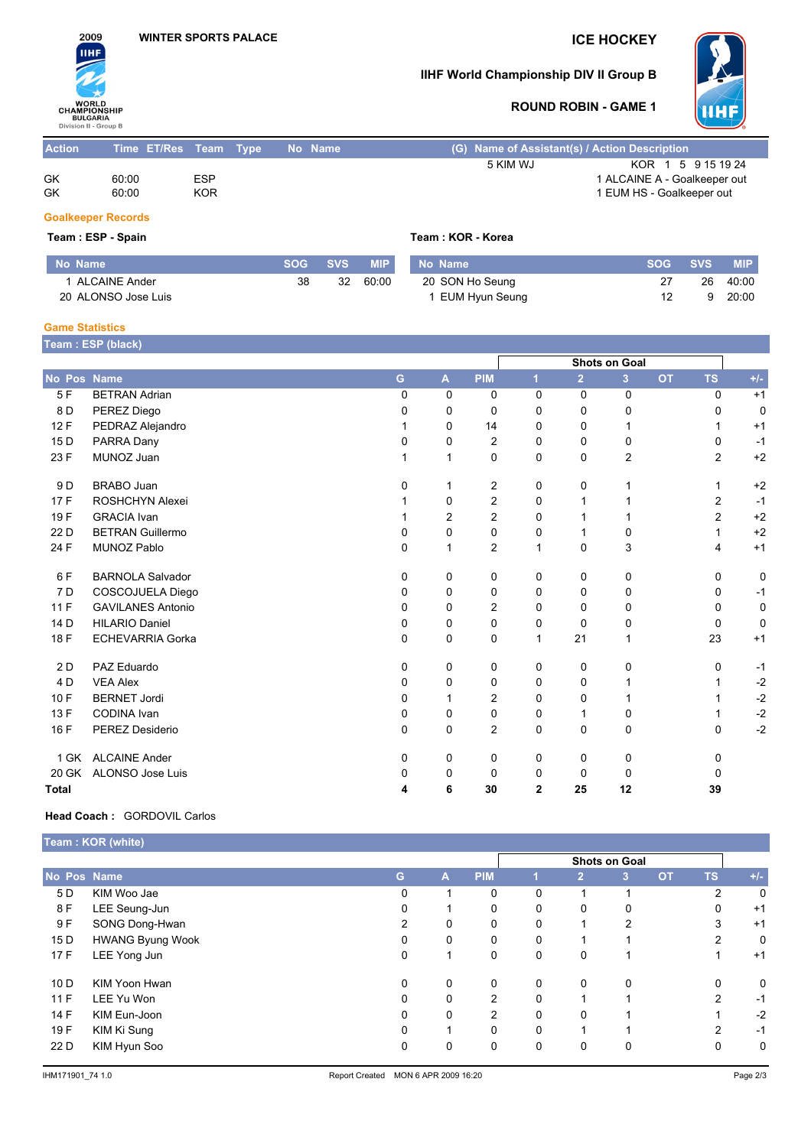

# **IIHF World Championship DIV II Group B**



# **ROUND ROBIN - GAME 1**

| <b>Action</b> | Time ET/Res Team Type |            | No Name |          | (G) Name of Assistant(s) / Action Description |  |  |  |  |  |
|---------------|-----------------------|------------|---------|----------|-----------------------------------------------|--|--|--|--|--|
|               |                       |            |         | 5 KIM WJ | KOR 1 5 9 15 19 24                            |  |  |  |  |  |
| GK            | 60:00                 | <b>ESP</b> |         |          | 1 ALCAINE A - Goalkeeper out                  |  |  |  |  |  |
| GK            | 60:00                 | <b>KOR</b> |         |          | 1 EUM HS - Goalkeeper out                     |  |  |  |  |  |

### **Goalkeeper Records**

 $Team : ESP - Spain$ 

|  | Team : KOR - Korea |  |
|--|--------------------|--|
|  |                    |  |

| No Name             |    | SOG SVS | <b>MIP</b> | No Name         | <b>SOG</b> | <b>SVS</b> | <b>MIP</b> |
|---------------------|----|---------|------------|-----------------|------------|------------|------------|
| 1 ALCAINE Ander     | 38 | 32      | 60:00      | 20 SON Ho Seung |            | 26         | 40:00      |
| 20 ALONSO Jose Luis |    |         |            | EUM Hyun Seung  |            |            | 20:00      |

#### **Game Statistics**

**Team : ESP (black)**

|                 |                          |              |                |                | Shots on Goal  |                |    |           |                |       |
|-----------------|--------------------------|--------------|----------------|----------------|----------------|----------------|----|-----------|----------------|-------|
| No Pos Name     |                          | G            | A              | <b>PIM</b>     |                | $\overline{2}$ | 3  | <b>OT</b> | <b>TS</b>      | $+/-$ |
| 5F              | <b>BETRAN Adrian</b>     | $\Omega$     | 0              | 0              | $\Omega$       | $\Omega$       | 0  |           | $\Omega$       | $+1$  |
| 8 D             | PEREZ Diego              | 0            | 0              | $\mathbf 0$    | $\Omega$       | $\Omega$       | 0  |           | 0              | 0     |
| 12F             | PEDRAZ Alejandro         |              | 0              | 14             | $\Omega$       | $\Omega$       |    |           |                | $+1$  |
| 15 <sub>D</sub> | PARRA Dany               | 0            | 0              | $\overline{2}$ | $\Omega$       | $\Omega$       | 0  |           | 0              | $-1$  |
| 23 F            | MUNOZ Juan               |              | 1              | 0              | 0              | 0              | 2  |           | $\overline{c}$ | $+2$  |
| 9 D             | <b>BRABO Juan</b>        | $\mathbf{0}$ | 1              | $\overline{c}$ | 0              | 0              |    |           | 1              | $+2$  |
| 17F             | ROSHCHYN Alexei          |              | 0              | 2              | $\Omega$       | 1              |    |           | $\overline{2}$ | $-1$  |
| 19F             | <b>GRACIA</b> Ivan       |              | $\overline{2}$ | $\overline{c}$ | 0              | 1              |    |           | $\overline{c}$ | $+2$  |
| 22 D            | <b>BETRAN Guillermo</b>  | 0            | 0              | 0              | 0              | 1              | 0  |           | 1              | $+2$  |
| 24 F            | <b>MUNOZ Pablo</b>       | 0            | 1              | $\overline{2}$ | $\mathbf{1}$   | $\mathbf 0$    | 3  |           | 4              | $+1$  |
| 6 F             | <b>BARNOLA Salvador</b>  | 0            | 0              | 0              | 0              | 0              | 0  |           | 0              | 0     |
| 7 D             | COSCOJUELA Diego         | 0            | 0              | 0              | 0              | 0              | 0  |           | 0              | $-1$  |
| 11F             | <b>GAVILANES Antonio</b> | 0            | 0              | 2              | 0              | 0              | 0  |           | 0              | 0     |
| 14 D            | <b>HILARIO Daniel</b>    | 0            | 0              | 0              | 0              | $\Omega$       | 0  |           | 0              | 0     |
| 18 F            | <b>ECHEVARRIA Gorka</b>  | $\mathbf 0$  | 0              | $\mathbf 0$    | 1              | 21             |    |           | 23             | $+1$  |
| 2D              | PAZ Eduardo              | $\mathbf 0$  | 0              | 0              | $\mathbf 0$    | $\mathbf 0$    | 0  |           | 0              | $-1$  |
| 4 D             | <b>VEA Alex</b>          | $\mathbf{0}$ | 0              | 0              | 0              | 0              |    |           | 1              | $-2$  |
| 10F             | <b>BERNET Jordi</b>      | 0            | 1              | 2              | 0              | $\Omega$       |    |           |                | $-2$  |
| 13F             | <b>CODINA</b> Ivan       | 0            | 0              | 0              | 0              | 1              | 0  |           | 1              | $-2$  |
| 16 F            | PEREZ Desiderio          | 0            | 0              | $\overline{2}$ | 0              | 0              | 0  |           | 0              | $-2$  |
| 1 GK            | <b>ALCAINE Ander</b>     | 0            | 0              | 0              | 0              | 0              | 0  |           | 0              |       |
| 20 GK           | ALONSO Jose Luis         | 0            | 0              | 0              | $\Omega$       | $\Omega$       | 0  |           | 0              |       |
| <b>Total</b>    |                          | 4            | 6              | 30             | $\overline{2}$ | 25             | 12 |           | 39             |       |

#### **Head Coach :** GORDOVIL Carlos

|             | Team: KOR (white)       |    |               |                |          |                |                |           |                |             |  |
|-------------|-------------------------|----|---------------|----------------|----------|----------------|----------------|-----------|----------------|-------------|--|
|             |                         |    | Shots on Goal |                |          |                |                |           |                |             |  |
| No Pos Name |                         | G. | A             | <b>PIM</b>     |          | $\overline{2}$ | 3              | <b>OT</b> | <b>TS</b>      | $+/-$       |  |
| 5 D         | KIM Woo Jae             | 0  |               | 0              | 0        |                |                |           | $\overline{2}$ | $\mathbf 0$ |  |
| 8 F         | LEE Seung-Jun           | 0  |               | 0              | 0        | 0              | 0              |           | 0              | $+1$        |  |
| 9 F         | SONG Dong-Hwan          | 2  | 0             | 0              | $\Omega$ |                | $\overline{2}$ |           | 3              | $+1$        |  |
| 15 D        | <b>HWANG Byung Wook</b> | 0  | 0             | 0              | 0        |                |                |           | $\overline{2}$ | 0           |  |
| 17F         | LEE Yong Jun            | 0  |               | 0              | 0        | 0              |                |           |                | $+1$        |  |
| 10D         | KIM Yoon Hwan           | 0  | 0             | 0              | 0        | $\mathbf{0}$   | 0              |           | $\mathbf{0}$   | 0           |  |
| 11F         | LEE Yu Won              | 0  | 0             | $\overline{2}$ | 0        |                |                |           | $\overline{2}$ | $-1$        |  |
| 14 F        | KIM Eun-Joon            | 0  | 0             | $\overline{2}$ | $\Omega$ | $\Omega$       |                |           |                | $-2$        |  |
| 19 F        | KIM Ki Sung             | 0  | 4             | 0              | 0        |                |                |           | 2              | $-1$        |  |
| 22 D        | KIM Hyun Soo            | 0  | 0             | 0              | 0        | 0              | 0              |           | 0              | 0           |  |